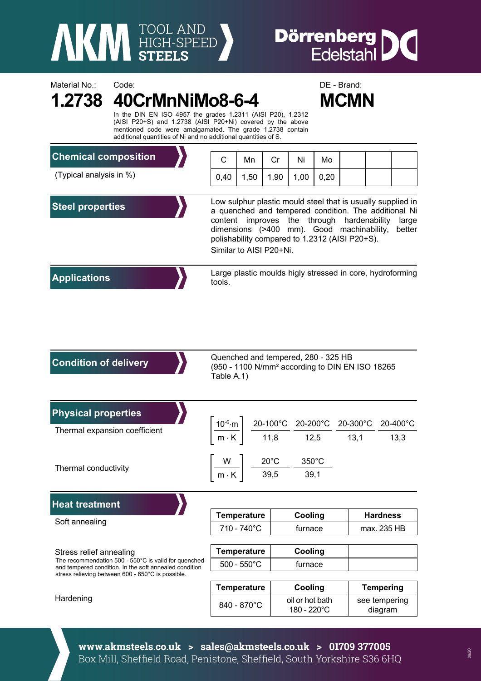

Material No.: Code: Code: Code: DE - Brand:

## **Dörrenberg DC**<br>Edelstahl

|                                                                                                                                                                                                             | <b>MCMN</b><br>In the DIN EN ISO 4957 the grades 1.2311 (AISI P20), 1.2312<br>(AISI P20+S) and 1.2738 (AISI P20+Ni) covered by the above<br>mentioned code were amalgamated. The grade 1.2738 contain<br>additional quantities of Ni and no additional quantities of S. |                                                                                                                                                                                                                                                                                                                |             |         |                                |                                                                                                                                                                                                                                                                           |             |                          |  |  |
|-------------------------------------------------------------------------------------------------------------------------------------------------------------------------------------------------------------|-------------------------------------------------------------------------------------------------------------------------------------------------------------------------------------------------------------------------------------------------------------------------|----------------------------------------------------------------------------------------------------------------------------------------------------------------------------------------------------------------------------------------------------------------------------------------------------------------|-------------|---------|--------------------------------|---------------------------------------------------------------------------------------------------------------------------------------------------------------------------------------------------------------------------------------------------------------------------|-------------|--------------------------|--|--|
| <b>Chemical composition</b>                                                                                                                                                                                 |                                                                                                                                                                                                                                                                         | С                                                                                                                                                                                                                                                                                                              | Mn          | Cr      | Ni                             | Mo                                                                                                                                                                                                                                                                        |             |                          |  |  |
| (Typical analysis in %)                                                                                                                                                                                     |                                                                                                                                                                                                                                                                         | 0,40                                                                                                                                                                                                                                                                                                           | 1,50        | 1,90    | 1,00                           | 0,20                                                                                                                                                                                                                                                                      |             |                          |  |  |
| <b>Steel properties</b>                                                                                                                                                                                     |                                                                                                                                                                                                                                                                         | Low sulphur plastic mould steel that is usually supplied in<br>a quenched and tempered condition. The additional Ni<br>content improves the through hardenability<br>large<br>dimensions (>400 mm). Good machinability,<br>better<br>polishability compared to 1.2312 (AISI P20+S).<br>Similar to AISI P20+Ni. |             |         |                                |                                                                                                                                                                                                                                                                           |             |                          |  |  |
| <b>Applications</b>                                                                                                                                                                                         |                                                                                                                                                                                                                                                                         | Large plastic moulds higly stressed in core, hydroforming<br>tools.                                                                                                                                                                                                                                            |             |         |                                |                                                                                                                                                                                                                                                                           |             |                          |  |  |
| <b>Condition of delivery</b>                                                                                                                                                                                |                                                                                                                                                                                                                                                                         | Quenched and tempered, 280 - 325 HB<br>(950 - 1100 N/mm <sup>2</sup> according to DIN EN ISO 18265<br>Table A.1)                                                                                                                                                                                               |             |         |                                |                                                                                                                                                                                                                                                                           |             |                          |  |  |
| <b>Physical properties</b><br>Thermal expansion coefficient                                                                                                                                                 |                                                                                                                                                                                                                                                                         |                                                                                                                                                                                                                                                                                                                |             |         |                                |                                                                                                                                                                                                                                                                           |             |                          |  |  |
|                                                                                                                                                                                                             |                                                                                                                                                                                                                                                                         |                                                                                                                                                                                                                                                                                                                |             |         |                                | $\left. \frac{10^{-6} \text{ m}}{\text{m} \cdot \text{K}} \right  \left. \frac{20 \text{-} 100^{\circ} \text{C}}{11,8} \right  \frac{20 \text{-} 200^{\circ} \text{C}}{12,5} \frac{20 \text{-} 300^{\circ} \text{C}}{13,1} \frac{20 \text{-} 400^{\circ} \text{C}}{13,3}$ |             |                          |  |  |
| Thermal conductivity                                                                                                                                                                                        |                                                                                                                                                                                                                                                                         | $20^{\circ}$ C<br>350°C<br>W<br>39,5<br>$\ensuremath{\mathsf{m}}\xspace \cdot \ensuremath{\mathsf{K}}\xspace$<br>39,1                                                                                                                                                                                          |             |         |                                |                                                                                                                                                                                                                                                                           |             |                          |  |  |
| <b>Heat treatment</b>                                                                                                                                                                                       |                                                                                                                                                                                                                                                                         |                                                                                                                                                                                                                                                                                                                |             |         |                                |                                                                                                                                                                                                                                                                           |             |                          |  |  |
| Soft annealing                                                                                                                                                                                              |                                                                                                                                                                                                                                                                         | <b>Temperature</b>                                                                                                                                                                                                                                                                                             |             |         | Cooling                        |                                                                                                                                                                                                                                                                           |             | <b>Hardness</b>          |  |  |
|                                                                                                                                                                                                             |                                                                                                                                                                                                                                                                         | 710 - 740°C                                                                                                                                                                                                                                                                                                    |             | furnace |                                |                                                                                                                                                                                                                                                                           | max. 235 HB |                          |  |  |
| Stress relief annealing<br>The recommendation 500 - 550°C is valid for quenched<br>and tempered condition. In the soft annealed condition<br>stress relieving between 600 - 650°C is possible.<br>Hardening |                                                                                                                                                                                                                                                                         | <b>Temperature</b>                                                                                                                                                                                                                                                                                             |             | Cooling |                                |                                                                                                                                                                                                                                                                           |             |                          |  |  |
|                                                                                                                                                                                                             |                                                                                                                                                                                                                                                                         | $500 - 550^{\circ}$ C                                                                                                                                                                                                                                                                                          |             |         | furnace                        |                                                                                                                                                                                                                                                                           |             |                          |  |  |
|                                                                                                                                                                                                             |                                                                                                                                                                                                                                                                         | <b>Temperature</b>                                                                                                                                                                                                                                                                                             |             |         | Cooling                        |                                                                                                                                                                                                                                                                           |             | <b>Tempering</b>         |  |  |
|                                                                                                                                                                                                             |                                                                                                                                                                                                                                                                         |                                                                                                                                                                                                                                                                                                                | 840 - 870°C |         | oil or hot bath<br>180 - 220°C |                                                                                                                                                                                                                                                                           |             | see tempering<br>diagram |  |  |

**www.akmsteels.co.uk > sales@akmsteels.co.uk > 01709 377005**  Box Mill, Sheffield Road, Penistone, Sheffield, South Yorkshire S36 6HQ